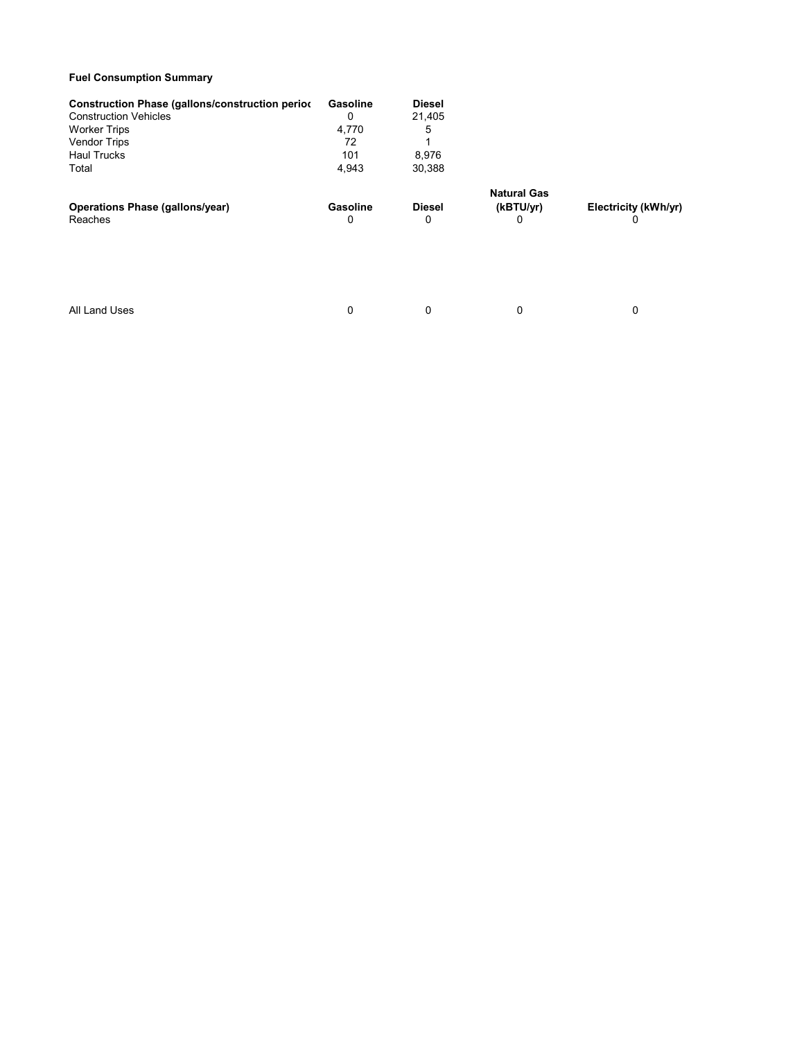## Fuel Consumption Summary

| <b>Construction Phase (gallons/construction period</b><br><b>Construction Vehicles</b><br><b>Worker Trips</b><br><b>Vendor Trips</b><br><b>Haul Trucks</b><br>Total | Gasoline<br>0<br>4,770<br>72<br>101<br>4,943 | <b>Diesel</b><br>21,405<br>5<br>8,976<br>30,388 |                                      |                           |
|---------------------------------------------------------------------------------------------------------------------------------------------------------------------|----------------------------------------------|-------------------------------------------------|--------------------------------------|---------------------------|
| <b>Operations Phase (gallons/year)</b><br>Reaches                                                                                                                   | Gasoline<br>0                                | <b>Diesel</b><br>0                              | <b>Natural Gas</b><br>(kBTU/yr)<br>0 | Electricity (kWh/yr)<br>0 |
| All Land Uses                                                                                                                                                       | 0                                            | 0                                               | $\Omega$                             | 0                         |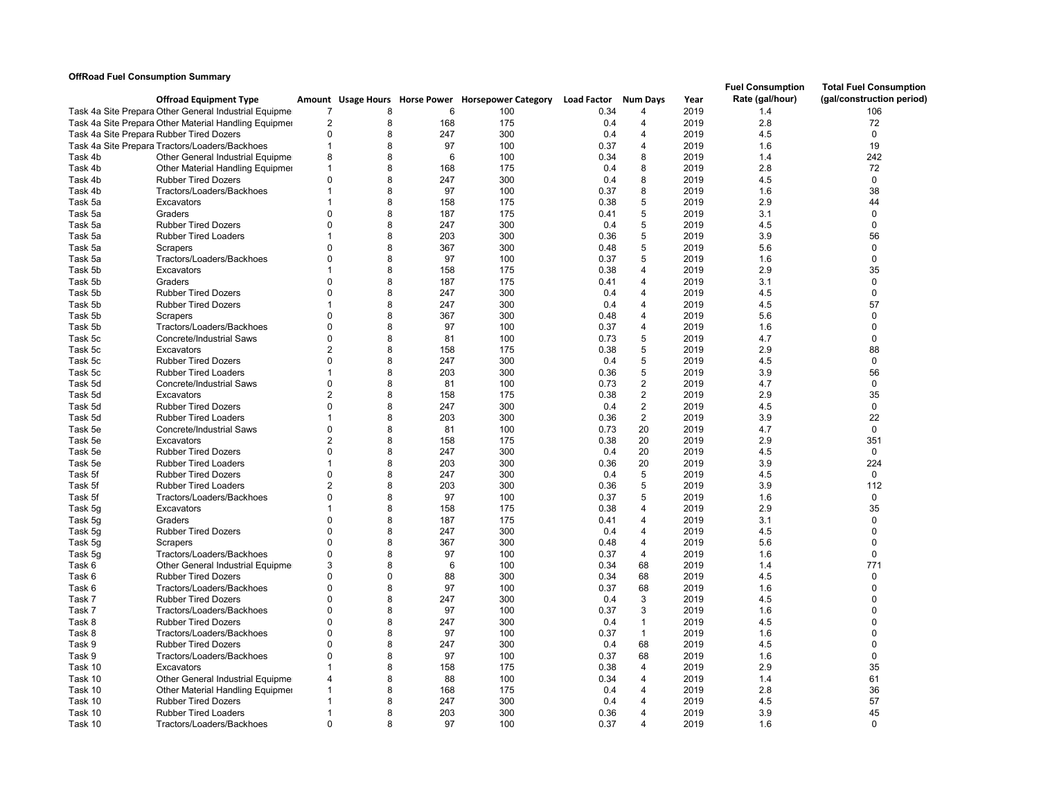## OffRoad Fuel Consumption Summary

|                    | <b>Offroad Equipment Type</b>                                  |                      |             |           | Amount Usage Hours Horse Power Horsepower Category Load Factor |            | <b>Num Days</b>                  | Year         | <b>Fuel Consumption</b><br>Rate (gal/hour) | <b>Total Fuel Consumption</b><br>(gal/construction period) |
|--------------------|----------------------------------------------------------------|----------------------|-------------|-----------|----------------------------------------------------------------|------------|----------------------------------|--------------|--------------------------------------------|------------------------------------------------------------|
|                    | Task 4a Site Prepara Other General Industrial Equipme          |                      | 8           | 6         | 100                                                            | 0.34       |                                  | 2019         | 1.4                                        | 106                                                        |
|                    | Task 4a Site Prepara Other Material Handling Equipmer          | $\overline{2}$       | 8           | 168       | 175                                                            | 0.4        | $\overline{4}$                   | 2019         | 2.8                                        | 72                                                         |
|                    | Task 4a Site Prepara Rubber Tired Dozers                       | $\Omega$             | 8           | 247       | 300                                                            | 0.4        | $\overline{4}$                   | 2019         | 4.5                                        | $\mathbf 0$                                                |
|                    | Task 4a Site Prepara Tractors/Loaders/Backhoes                 | -1                   | 8           | 97        | 100                                                            | 0.37       | 4                                | 2019         | 1.6                                        | 19                                                         |
| Task 4b            | Other General Industrial Equipmer                              | 8                    | 8           | 6         | 100                                                            | 0.34       | 8                                | 2019         | 1.4                                        | 242                                                        |
| Task 4b            | Other Material Handling Equipmer                               | 1                    | 8           | 168       | 175                                                            | 0.4        | 8                                | 2019         | 2.8                                        | 72                                                         |
| Task 4b            | <b>Rubber Tired Dozers</b>                                     | $\Omega$             | 8           | 247       | 300                                                            | 0.4        | 8                                | 2019         | 4.5                                        | $\mathbf 0$                                                |
| Task 4b            | Tractors/Loaders/Backhoes                                      |                      | 8           | 97        | 100                                                            | 0.37       | 8                                | 2019         | 1.6                                        | 38                                                         |
| Task 5a            | Excavators                                                     |                      | 8           | 158       | 175                                                            | 0.38       | 5                                | 2019         | 2.9                                        | 44                                                         |
| Task 5a            | Graders                                                        | ∩                    | 8           | 187       | 175                                                            | 0.41       | 5                                | 2019         | 3.1                                        | $\mathbf 0$                                                |
| Task 5a            | <b>Rubber Tired Dozers</b>                                     | $\Omega$             | 8           | 247       | 300                                                            | 0.4        | 5                                | 2019         | 4.5                                        | $\mathbf 0$                                                |
| Task 5a            | <b>Rubber Tired Loaders</b>                                    |                      | 8           | 203       | 300                                                            | 0.36       | 5                                | 2019         | 3.9                                        | 56                                                         |
| Task 5a            | Scrapers                                                       | n                    | 8           | 367       | 300                                                            | 0.48       | 5                                | 2019         | 5.6                                        | $\mathbf 0$                                                |
| Task 5a            | Tractors/Loaders/Backhoes                                      | $\Omega$             | 8           | 97        | 100                                                            | 0.37       | 5                                | 2019         | 1.6                                        | $\mathbf 0$                                                |
| Task 5b            | Excavators                                                     |                      | 8           | 158       | 175                                                            | 0.38       | $\overline{\mathbf{A}}$          | 2019         | 2.9                                        | 35                                                         |
| Task 5b            | Graders                                                        | $\Omega$             | 8           | 187       | 175                                                            | 0.41       | $\overline{4}$                   | 2019         | 3.1                                        | $\mathbf{0}$                                               |
| Task 5b            | <b>Rubber Tired Dozers</b>                                     | $\Omega$             | 8           | 247       | 300                                                            | 0.4        | $\overline{4}$                   | 2019         | 4.5                                        | $\pmb{0}$                                                  |
| Task 5b            | <b>Rubber Tired Dozers</b>                                     |                      | 8           | 247       | 300                                                            | 0.4        | $\overline{4}$                   | 2019         | 4.5                                        | 57                                                         |
| Task 5b            | Scrapers                                                       | $\Omega$             | 8           | 367       | 300                                                            | 0.48       | $\overline{4}$                   | 2019         | 5.6                                        | $\Omega$                                                   |
| Task 5b            | Tractors/Loaders/Backhoes                                      | n                    | 8           | 97        | 100                                                            | 0.37       | $\overline{4}$                   | 2019         | 1.6                                        | $\mathbf 0$                                                |
| Task 5c            | <b>Concrete/Industrial Saws</b>                                | $\Omega$             | 8           | 81        | 100                                                            | 0.73       | 5                                | 2019         | 4.7                                        | $\Omega$                                                   |
| Task 5c            | Excavators                                                     |                      | 8           | 158       | 175                                                            | 0.38       | 5                                | 2019         | 2.9                                        | 88                                                         |
| Task 5c            | <b>Rubber Tired Dozers</b>                                     | $\Omega$             | 8           | 247       | 300                                                            | 0.4        | 5                                | 2019         | 4.5                                        | $\Omega$                                                   |
| Task 5c            | <b>Rubber Tired Loaders</b>                                    |                      | 8           | 203       | 300                                                            | 0.36       | 5                                | 2019         | 3.9                                        | 56                                                         |
| Task 5d            | Concrete/Industrial Saws                                       | $\Omega$             | 8           | 81        | 100                                                            | 0.73       | $\overline{2}$                   | 2019         | 4.7                                        | $\mathbf 0$                                                |
| Task 5d            | Excavators                                                     |                      | 8           | 158       | 175                                                            | 0.38       | $\overline{2}$                   | 2019         | 2.9                                        | 35                                                         |
| Task 5d            | <b>Rubber Tired Dozers</b>                                     | $\Omega$             | 8           | 247       | 300                                                            | 0.4        | $\overline{2}$                   | 2019         | 4.5                                        | $\Omega$                                                   |
| Task 5d            | <b>Rubber Tired Loaders</b>                                    |                      | 8           | 203       | 300                                                            | 0.36       | 2                                | 2019         | 3.9                                        | 22                                                         |
| Task 5e            | <b>Concrete/Industrial Saws</b>                                | $\Omega$             | 8           | 81        | 100                                                            | 0.73       | 20                               | 2019         | 4.7                                        | $\mathbf 0$                                                |
| Task 5e            | Excavators                                                     |                      | 8           | 158       | 175                                                            | 0.38       | 20                               | 2019         | 2.9                                        | 351                                                        |
| Task 5e            | <b>Rubber Tired Dozers</b>                                     | $\Omega$             | 8           | 247       | 300                                                            | 0.4        | 20                               | 2019         | 4.5                                        | $\mathbf 0$                                                |
| Task 5e            | <b>Rubber Tired Loaders</b>                                    |                      | 8           | 203       | 300                                                            | 0.36       | 20                               | 2019         | 3.9                                        | 224                                                        |
| Task 5f            | <b>Rubber Tired Dozers</b>                                     | $\Omega$             | 8           | 247       | 300                                                            | 0.4        | 5                                | 2019         | 4.5                                        | $\mathbf 0$                                                |
| Task 5f            | <b>Rubber Tired Loaders</b>                                    |                      | 8           | 203       | 300                                                            | 0.36       | 5                                | 2019         | 3.9                                        | 112                                                        |
| Task 5f            | Tractors/Loaders/Backhoes                                      | $\Omega$             | 8           | 97        | 100                                                            | 0.37       | 5                                | 2019         | 1.6                                        | $\mathbf 0$                                                |
| Task 5q            | Excavators                                                     |                      | 8           | 158       | 175                                                            | 0.38       | $\overline{4}$                   | 2019         | 2.9                                        | 35                                                         |
| Task 5g            | Graders                                                        | $\Omega$             | 8           | 187       | 175                                                            | 0.41       | $\overline{4}$                   | 2019         | 3.1                                        | $\mathbf 0$                                                |
| Task 5g            | <b>Rubber Tired Dozers</b>                                     | $\Omega$             | 8           | 247       | 300                                                            | 0.4        | 4                                | 2019         | 4.5                                        | $\mathbf 0$                                                |
| Task 5g            | Scrapers                                                       | $\Omega$             | 8           | 367       | 300                                                            | 0.48       | 4                                | 2019         | 5.6                                        | $\mathbf{0}$                                               |
| Task 5g            | Tractors/Loaders/Backhoes                                      | $\Omega$             | 8           | 97        | 100                                                            | 0.37       | $\overline{4}$                   | 2019         | 1.6                                        | $\mathbf 0$                                                |
| Task 6             | Other General Industrial Equipme                               | 3                    | 8           | 6         | 100                                                            | 0.34       | 68                               | 2019         | 1.4                                        | 771                                                        |
| Task 6             | <b>Rubber Tired Dozers</b>                                     | n                    | $\mathbf 0$ | 88        | 300                                                            | 0.34       | 68                               | 2019         | 4.5                                        | $\mathbf 0$                                                |
| Task 6             | Tractors/Loaders/Backhoes                                      | $\Omega$             | 8           | 97        | 100                                                            | 0.37       | 68                               | 2019         | 1.6                                        | $\mathbf{0}$                                               |
| Task 7             | <b>Rubber Tired Dozers</b>                                     | $\Omega$             | 8<br>8      | 247       | 300                                                            | 0.4        | 3                                | 2019         | 4.5                                        | $\mathbf{0}$                                               |
| Task 7             | Tractors/Loaders/Backhoes                                      |                      |             | 97        | 100                                                            | 0.37       | 3                                | 2019         | 1.6                                        | $\mathbf{0}$<br>$\Omega$                                   |
| Task 8             | <b>Rubber Tired Dozers</b>                                     | $\Omega$<br>$\Omega$ | 8<br>8      | 247       | 300                                                            | 0.4        | $\mathbf{1}$                     | 2019         | 4.5                                        |                                                            |
| Task 8             | Tractors/Loaders/Backhoes                                      | $\Omega$             | 8           | 97<br>247 | 100<br>300                                                     | 0.37       | $\mathbf{1}$                     | 2019         | 1.6<br>4.5                                 | $\mathbf 0$<br>$\mathbf 0$                                 |
| Task 9             | <b>Rubber Tired Dozers</b>                                     | $\Omega$             | 8           |           |                                                                | 0.4        | 68                               | 2019         |                                            | $\Omega$                                                   |
| Task 9             | Tractors/Loaders/Backhoes                                      |                      | 8           | 97        | 100                                                            | 0.37       | 68                               | 2019         | 1.6                                        |                                                            |
| Task 10            | Excavators                                                     |                      | 8           | 158<br>88 | 175<br>100                                                     | 0.38       | $\overline{4}$<br>$\overline{4}$ | 2019         | 2.9                                        | 35                                                         |
| Task 10            | Other General Industrial Equipme                               |                      | 8           | 168       |                                                                | 0.34       | $\overline{4}$                   | 2019<br>2019 | 1.4<br>2.8                                 | 61<br>36                                                   |
| Task 10            | Other Material Handling Equipmer<br><b>Rubber Tired Dozers</b> |                      | 8           | 247       | 175<br>300                                                     | 0.4<br>0.4 | $\overline{4}$                   | 2019         | 4.5                                        | 57                                                         |
| Task 10<br>Task 10 | <b>Rubber Tired Loaders</b>                                    |                      | 8           | 203       | 300                                                            | 0.36       | $\overline{4}$                   | 2019         | 3.9                                        | 45                                                         |
| Task 10            | Tractors/Loaders/Backhoes                                      | $\Omega$             | 8           | 97        | 100                                                            | 0.37       | $\Delta$                         | 2019         | 1.6                                        | $\Omega$                                                   |
|                    |                                                                |                      |             |           |                                                                |            |                                  |              |                                            |                                                            |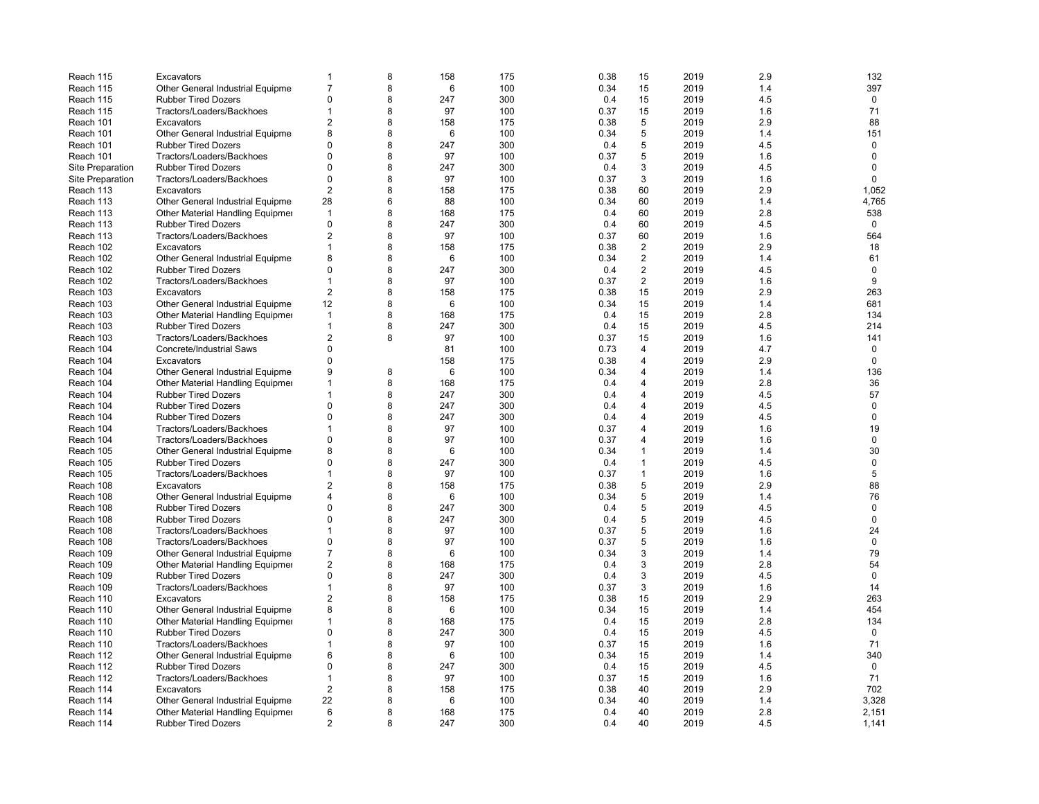| Reach 115               | Excavators                        | -1             | 8 | 158 | 175 | 0.38 | 15             | 2019 | 2.9 | 132          |
|-------------------------|-----------------------------------|----------------|---|-----|-----|------|----------------|------|-----|--------------|
| Reach 115               | Other General Industrial Equipme  | $\overline{7}$ | 8 | 6   | 100 | 0.34 | 15             | 2019 | 1.4 | 397          |
| Reach 115               | <b>Rubber Tired Dozers</b>        | $\Omega$       | 8 | 247 | 300 | 0.4  | 15             | 2019 | 4.5 | 0            |
| Reach 115               | Tractors/Loaders/Backhoes         | 1              | 8 | 97  | 100 | 0.37 | 15             | 2019 | 1.6 | 71           |
| Reach 101               | Excavators                        | $\overline{2}$ | 8 | 158 | 175 | 0.38 | 5              | 2019 | 2.9 | 88           |
| Reach 101               | Other General Industrial Equipme  | 8              | 8 | 6   | 100 | 0.34 | 5              | 2019 | 1.4 | 151          |
| Reach 101               | <b>Rubber Tired Dozers</b>        | $\Omega$       | 8 | 247 | 300 | 0.4  | 5              | 2019 | 4.5 | $\mathbf 0$  |
| Reach 101               | Tractors/Loaders/Backhoes         | $\Omega$       | 8 | 97  | 100 | 0.37 | 5              | 2019 | 1.6 | $\mathbf 0$  |
| Site Preparation        | <b>Rubber Tired Dozers</b>        | $\Omega$       | 8 | 247 | 300 | 0.4  | 3              | 2019 | 4.5 | $\Omega$     |
| <b>Site Preparation</b> | Tractors/Loaders/Backhoes         | $\Omega$       | 8 | 97  | 100 | 0.37 | 3              | 2019 | 1.6 | $\Omega$     |
| Reach 113               | Excavators                        | $\overline{2}$ | 8 | 158 | 175 | 0.38 | 60             | 2019 | 2.9 | 1,052        |
| Reach 113               | Other General Industrial Equipmer | 28             | 6 | 88  | 100 | 0.34 | 60             | 2019 | 1.4 | 4,765        |
| Reach 113               | Other Material Handling Equipmer  | $\mathbf 1$    | 8 | 168 | 175 | 0.4  | 60             | 2019 | 2.8 | 538          |
| Reach 113               | <b>Rubber Tired Dozers</b>        | $\Omega$       | 8 | 247 | 300 | 0.4  | 60             | 2019 | 4.5 | 0            |
| Reach 113               | Tractors/Loaders/Backhoes         | $\overline{2}$ | 8 | 97  | 100 | 0.37 | 60             | 2019 | 1.6 | 564          |
| Reach 102               | Excavators                        | 1              | 8 | 158 | 175 | 0.38 | 2              | 2019 | 2.9 | 18           |
| Reach 102               | Other General Industrial Equipmer | 8              | 8 | 6   | 100 | 0.34 | 2              | 2019 | 1.4 | 61           |
| Reach 102               | <b>Rubber Tired Dozers</b>        | $\Omega$       | 8 | 247 | 300 | 0.4  | 2              | 2019 | 4.5 | $\mathbf 0$  |
| Reach 102               | Tractors/Loaders/Backhoes         | 1              | 8 | 97  | 100 | 0.37 | 2              | 2019 | 1.6 | 9            |
| Reach 103               | Excavators                        | $\overline{2}$ | 8 | 158 | 175 | 0.38 | 15             | 2019 | 2.9 | 263          |
| Reach 103               | Other General Industrial Equipme  | 12             | 8 | 6   | 100 | 0.34 | 15             | 2019 | 1.4 | 681          |
| Reach 103               | Other Material Handling Equipmer  | $\mathbf{1}$   | 8 | 168 | 175 | 0.4  | 15             | 2019 | 2.8 | 134          |
| Reach 103               | <b>Rubber Tired Dozers</b>        | 1              | 8 | 247 | 300 | 0.4  | 15             | 2019 | 4.5 | 214          |
| Reach 103               | Tractors/Loaders/Backhoes         | $\overline{2}$ | 8 | 97  | 100 | 0.37 | 15             | 2019 | 1.6 | 141          |
| Reach 104               | Concrete/Industrial Saws          | $\Omega$       |   | 81  | 100 | 0.73 | $\overline{4}$ | 2019 | 4.7 | $\mathbf 0$  |
| Reach 104               | Excavators                        | $\Omega$       |   | 158 | 175 | 0.38 | 4              | 2019 | 2.9 | $\mathbf 0$  |
|                         |                                   | 9              | 8 | 6   |     | 0.34 | 4              | 2019 | 1.4 | 136          |
| Reach 104               | Other General Industrial Equipme  | $\overline{1}$ |   |     | 100 |      | 4              |      | 2.8 |              |
| Reach 104               | Other Material Handling Equipmer  |                | 8 | 168 | 175 | 0.4  |                | 2019 |     | 36           |
| Reach 104               | <b>Rubber Tired Dozers</b>        | 1              | 8 | 247 | 300 | 0.4  | 4              | 2019 | 4.5 | 57           |
| Reach 104               | <b>Rubber Tired Dozers</b>        | $\Omega$       | 8 | 247 | 300 | 0.4  | $\overline{4}$ | 2019 | 4.5 | $\mathbf 0$  |
| Reach 104               | <b>Rubber Tired Dozers</b>        | $\Omega$       | 8 | 247 | 300 | 0.4  | 4              | 2019 | 4.5 | $\mathbf 0$  |
| Reach 104               | Tractors/Loaders/Backhoes         | 1              | 8 | 97  | 100 | 0.37 | $\overline{4}$ | 2019 | 1.6 | 19           |
| Reach 104               | Tractors/Loaders/Backhoes         | $\Omega$       | 8 | 97  | 100 | 0.37 | 4              | 2019 | 1.6 | $\mathbf 0$  |
| Reach 105               | Other General Industrial Equipme  | 8              | 8 | 6   | 100 | 0.34 | $\mathbf{1}$   | 2019 | 1.4 | 30           |
| Reach 105               | <b>Rubber Tired Dozers</b>        | $\Omega$       | 8 | 247 | 300 | 0.4  | $\mathbf{1}$   | 2019 | 4.5 | 0            |
| Reach 105               | Tractors/Loaders/Backhoes         | 1              | 8 | 97  | 100 | 0.37 | 1              | 2019 | 1.6 | 5            |
| Reach 108               | Excavators                        | $\overline{2}$ | 8 | 158 | 175 | 0.38 | 5              | 2019 | 2.9 | 88           |
| Reach 108               | Other General Industrial Equipmer | Δ              | 8 | 6   | 100 | 0.34 | 5              | 2019 | 1.4 | 76           |
| Reach 108               | <b>Rubber Tired Dozers</b>        | $\Omega$       | 8 | 247 | 300 | 0.4  | 5              | 2019 | 4.5 | $\mathbf 0$  |
| Reach 108               | <b>Rubber Tired Dozers</b>        | $\Omega$       | 8 | 247 | 300 | 0.4  | 5              | 2019 | 4.5 | $\mathbf{0}$ |
| Reach 108               | Tractors/Loaders/Backhoes         |                | 8 | 97  | 100 | 0.37 | 5              | 2019 | 1.6 | 24           |
| Reach 108               | Tractors/Loaders/Backhoes         | $\Omega$       | 8 | 97  | 100 | 0.37 | 5              | 2019 | 1.6 | $\mathbf 0$  |
| Reach 109               | Other General Industrial Equipme  | $\overline{7}$ | 8 | 6   | 100 | 0.34 | 3              | 2019 | 1.4 | 79           |
| Reach 109               | Other Material Handling Equipmer  | $\overline{2}$ | 8 | 168 | 175 | 0.4  | 3              | 2019 | 2.8 | 54           |
| Reach 109               | <b>Rubber Tired Dozers</b>        | $\Omega$       | 8 | 247 | 300 | 0.4  | 3              | 2019 | 4.5 | $\Omega$     |
| Reach 109               | Tractors/Loaders/Backhoes         | 1              | 8 | 97  | 100 | 0.37 | 3              | 2019 | 1.6 | 14           |
| Reach 110               | Excavators                        | $\overline{2}$ | 8 | 158 | 175 | 0.38 | 15             | 2019 | 2.9 | 263          |
| Reach 110               | Other General Industrial Equipme  | 8              | 8 | 6   | 100 | 0.34 | 15             | 2019 | 1.4 | 454          |
| Reach 110               | Other Material Handling Equipmer  | 1              | 8 | 168 | 175 | 0.4  | 15             | 2019 | 2.8 | 134          |
| Reach 110               | <b>Rubber Tired Dozers</b>        | $\Omega$       | 8 | 247 | 300 | 0.4  | 15             | 2019 | 4.5 | $\mathbf 0$  |
| Reach 110               | Tractors/Loaders/Backhoes         | 1              | 8 | 97  | 100 | 0.37 | 15             | 2019 | 1.6 | 71           |
| Reach 112               | Other General Industrial Equipmer | 6              | 8 | 6   | 100 | 0.34 | 15             | 2019 | 1.4 | 340          |
| Reach 112               | <b>Rubber Tired Dozers</b>        | $\Omega$       | 8 | 247 | 300 | 0.4  | 15             | 2019 | 4.5 | 0            |
| Reach 112               | Tractors/Loaders/Backhoes         | 1              | 8 | 97  | 100 | 0.37 | 15             | 2019 | 1.6 | 71           |
| Reach 114               | Excavators                        | $\overline{2}$ | 8 | 158 | 175 | 0.38 | 40             | 2019 | 2.9 | 702          |
| Reach 114               | Other General Industrial Equipmer | 22             | 8 | 6   | 100 | 0.34 | 40             | 2019 | 1.4 | 3,328        |
| Reach 114               | Other Material Handling Equipmer  | 6              | 8 | 168 | 175 | 0.4  | 40             | 2019 | 2.8 | 2,151        |
| Reach 114               | <b>Rubber Tired Dozers</b>        | $\overline{2}$ | 8 | 247 | 300 | 0.4  | 40             | 2019 | 4.5 | 1,141        |
|                         |                                   |                |   |     |     |      |                |      |     |              |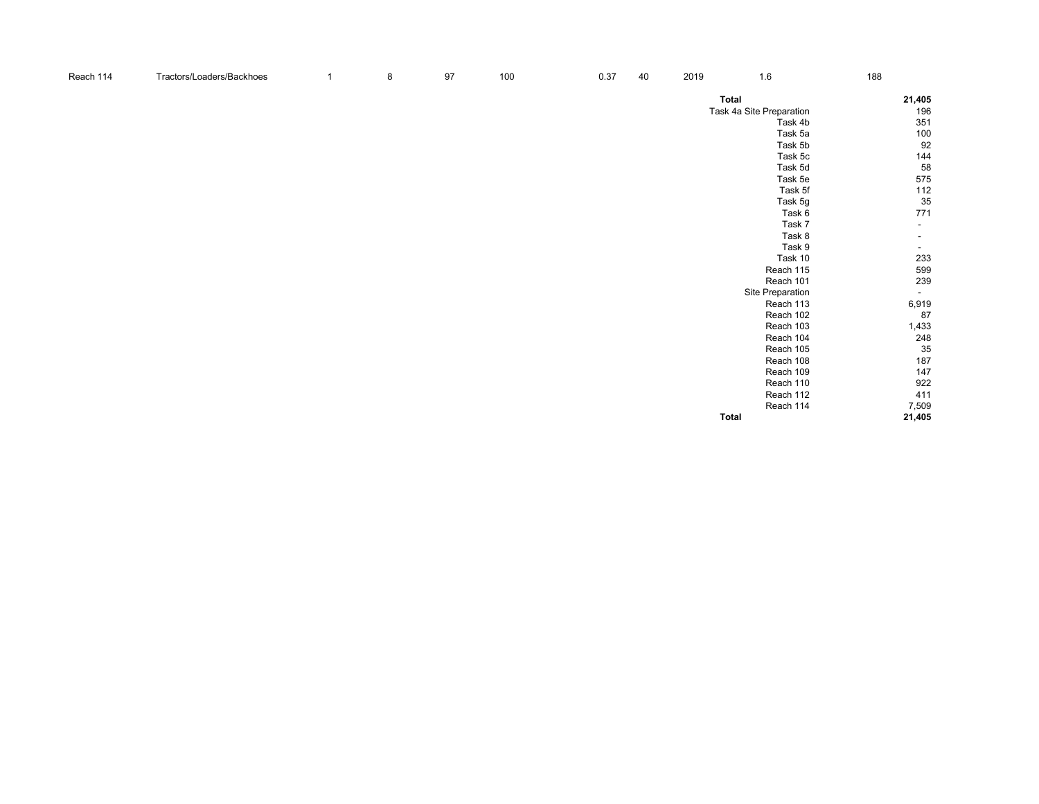| Reach 114 | Tractors/Loaders/Backhoes | $\overline{1}$ | 8 | 97 | 100 | 0.37 | 40 | 2019 | 1.6                      | 188                      |
|-----------|---------------------------|----------------|---|----|-----|------|----|------|--------------------------|--------------------------|
|           |                           |                |   |    |     |      |    |      | Total                    | 21,405                   |
|           |                           |                |   |    |     |      |    |      | Task 4a Site Preparation | 196                      |
|           |                           |                |   |    |     |      |    |      | Task 4b                  | 351                      |
|           |                           |                |   |    |     |      |    |      | Task 5a                  | 100                      |
|           |                           |                |   |    |     |      |    |      | Task 5b                  | 92                       |
|           |                           |                |   |    |     |      |    |      | Task 5c                  | 144                      |
|           |                           |                |   |    |     |      |    |      | Task 5d                  | 58                       |
|           |                           |                |   |    |     |      |    |      | Task 5e                  | 575                      |
|           |                           |                |   |    |     |      |    |      | Task 5f                  | $112$                    |
|           |                           |                |   |    |     |      |    |      | Task 5g                  | 35                       |
|           |                           |                |   |    |     |      |    |      | Task 6                   | 771                      |
|           |                           |                |   |    |     |      |    |      | Task 7                   | $\overline{\phantom{a}}$ |
|           |                           |                |   |    |     |      |    |      | Task 8                   | $\overline{\phantom{a}}$ |
|           |                           |                |   |    |     |      |    |      | Task 9                   | $\sim$                   |
|           |                           |                |   |    |     |      |    |      | Task 10                  | 233                      |
|           |                           |                |   |    |     |      |    |      | Reach 115                | 599                      |
|           |                           |                |   |    |     |      |    |      | Reach 101                | 239                      |
|           |                           |                |   |    |     |      |    |      | Site Preparation         | $\sim$                   |
|           |                           |                |   |    |     |      |    |      | Reach 113                | 6,919                    |
|           |                           |                |   |    |     |      |    |      | Reach 102                | 87                       |
|           |                           |                |   |    |     |      |    |      | Reach 103                | 1,433                    |
|           |                           |                |   |    |     |      |    |      | Reach 104                | 248                      |
|           |                           |                |   |    |     |      |    |      | Reach 105                | 35                       |
|           |                           |                |   |    |     |      |    |      | Reach 108                | 187                      |
|           |                           |                |   |    |     |      |    |      | Reach 109                | 147                      |
|           |                           |                |   |    |     |      |    |      | Reach 110                | 922                      |
|           |                           |                |   |    |     |      |    |      | Reach 112                | 411                      |
|           |                           |                |   |    |     |      |    |      | Reach 114                | 7,509                    |
|           |                           |                |   |    |     |      |    |      | Total                    | 21,405                   |